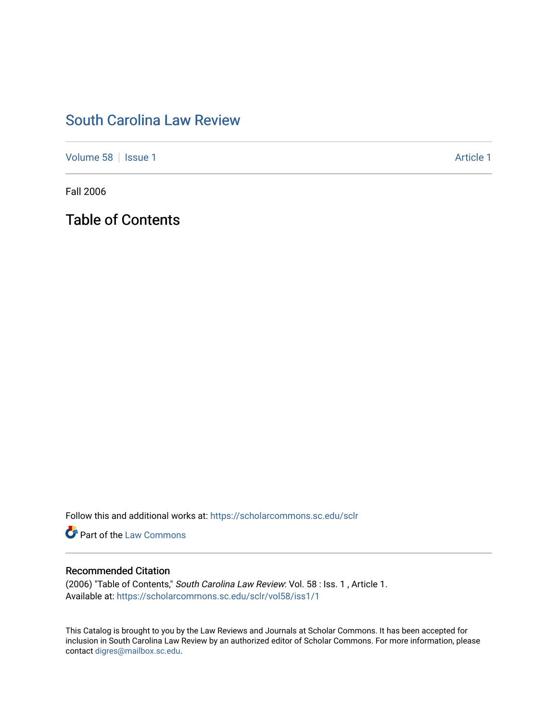# [South Carolina Law Review](https://scholarcommons.sc.edu/sclr)

[Volume 58](https://scholarcommons.sc.edu/sclr/vol58) | [Issue 1](https://scholarcommons.sc.edu/sclr/vol58/iss1) Article 1

Fall 2006

Table of Contents

Follow this and additional works at: [https://scholarcommons.sc.edu/sclr](https://scholarcommons.sc.edu/sclr?utm_source=scholarcommons.sc.edu%2Fsclr%2Fvol58%2Fiss1%2F1&utm_medium=PDF&utm_campaign=PDFCoverPages)

**Part of the [Law Commons](http://network.bepress.com/hgg/discipline/578?utm_source=scholarcommons.sc.edu%2Fsclr%2Fvol58%2Fiss1%2F1&utm_medium=PDF&utm_campaign=PDFCoverPages)** 

## Recommended Citation

(2006) "Table of Contents," South Carolina Law Review: Vol. 58 : Iss. 1 , Article 1. Available at: [https://scholarcommons.sc.edu/sclr/vol58/iss1/1](https://scholarcommons.sc.edu/sclr/vol58/iss1/1?utm_source=scholarcommons.sc.edu%2Fsclr%2Fvol58%2Fiss1%2F1&utm_medium=PDF&utm_campaign=PDFCoverPages)

This Catalog is brought to you by the Law Reviews and Journals at Scholar Commons. It has been accepted for inclusion in South Carolina Law Review by an authorized editor of Scholar Commons. For more information, please contact [digres@mailbox.sc.edu.](mailto:digres@mailbox.sc.edu)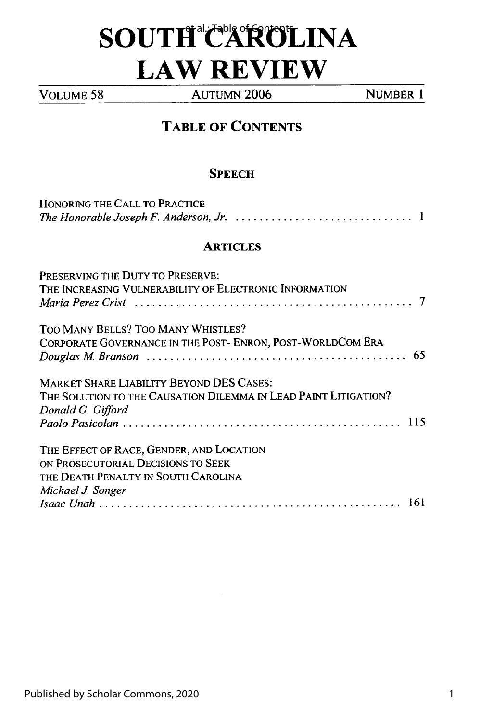# $\bf SOUTH^{\hbox{\tiny all}}$ CAROLINA **LAW REVIEW**

**VOLUME 58** AUTUMN **2006** NUMBER **1**

## **TABLE OF CONTENTS**

### **SPEECH**

| HONORING THE CALL TO PRACTICE                                                                                                              |
|--------------------------------------------------------------------------------------------------------------------------------------------|
| <b>ARTICLES</b>                                                                                                                            |
| PRESERVING THE DUTY TO PRESERVE:<br>THE INCREASING VULNERABILITY OF ELECTRONIC INFORMATION                                                 |
| TOO MANY BELLS? TOO MANY WHISTLES?<br>CORPORATE GOVERNANCE IN THE POST- ENRON, POST-WORLDCOM ERA<br>-65                                    |
| <b>MARKET SHARE LIABILITY BEYOND DES CASES:</b><br>THE SOLUTION TO THE CAUSATION DILEMMA IN LEAD PAINT LITIGATION?<br>Donald G. Gifford    |
| THE EFFECT OF RACE, GENDER, AND LOCATION<br>ON PROSECUTORIAL DECISIONS TO SEEK<br>THE DEATH PENALTY IN SOUTH CAROLINA<br>Michael J. Songer |
|                                                                                                                                            |